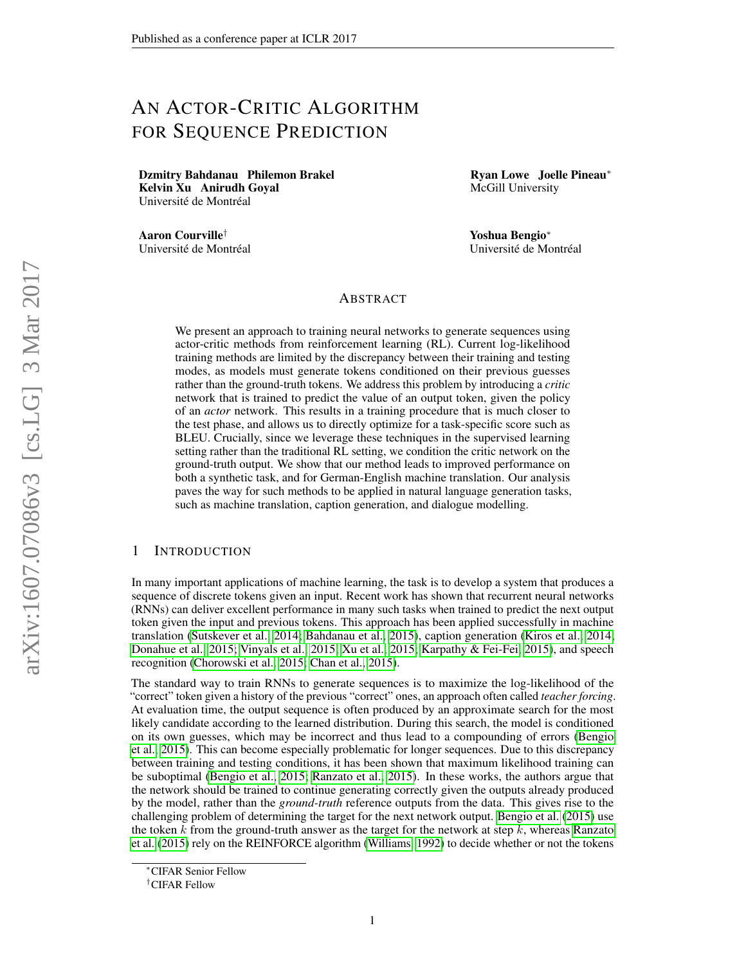# AN ACTOR-CRITIC ALGORITHM FOR SEQUENCE PREDICTION

Dzmitry Bahdanau Philemon Brakel Kelvin Xu Anirudh Goyal Université de Montréal

Aaron Courville† Université de Montréal Ryan Lowe Joelle Pineau<sup>∗</sup> McGill University

Yoshua Bengio<sup>∗</sup> Université de Montréal

#### ABSTRACT

We present an approach to training neural networks to generate sequences using actor-critic methods from reinforcement learning (RL). Current log-likelihood training methods are limited by the discrepancy between their training and testing modes, as models must generate tokens conditioned on their previous guesses rather than the ground-truth tokens. We address this problem by introducing a *critic* network that is trained to predict the value of an output token, given the policy of an *actor* network. This results in a training procedure that is much closer to the test phase, and allows us to directly optimize for a task-specific score such as BLEU. Crucially, since we leverage these techniques in the supervised learning setting rather than the traditional RL setting, we condition the critic network on the ground-truth output. We show that our method leads to improved performance on both a synthetic task, and for German-English machine translation. Our analysis paves the way for such methods to be applied in natural language generation tasks, such as machine translation, caption generation, and dialogue modelling.

#### 1 INTRODUCTION

In many important applications of machine learning, the task is to develop a system that produces a sequence of discrete tokens given an input. Recent work has shown that recurrent neural networks (RNNs) can deliver excellent performance in many such tasks when trained to predict the next output token given the input and previous tokens. This approach has been applied successfully in machine translation [\(Sutskever et al., 2014;](#page-12-0) [Bahdanau et al., 2015\)](#page-10-0), caption generation [\(Kiros et al., 2014;](#page-11-0) [Donahue et al., 2015;](#page-11-1) [Vinyals et al., 2015;](#page-12-1) [Xu et al., 2015;](#page-13-0) [Karpathy & Fei-Fei, 2015\)](#page-11-2), and speech recognition [\(Chorowski et al., 2015;](#page-11-3) [Chan et al., 2015\)](#page-10-1).

The standard way to train RNNs to generate sequences is to maximize the log-likelihood of the "correct" token given a history of the previous "correct" ones, an approach often called *teacher forcing*. At evaluation time, the output sequence is often produced by an approximate search for the most likely candidate according to the learned distribution. During this search, the model is conditioned on its own guesses, which may be incorrect and thus lead to a compounding of errors [\(Bengio](#page-10-2) [et al., 2015\)](#page-10-2). This can become especially problematic for longer sequences. Due to this discrepancy between training and testing conditions, it has been shown that maximum likelihood training can be suboptimal [\(Bengio et al., 2015;](#page-10-2) [Ranzato et al., 2015\)](#page-12-2). In these works, the authors argue that the network should be trained to continue generating correctly given the outputs already produced by the model, rather than the *ground-truth* reference outputs from the data. This gives rise to the challenging problem of determining the target for the next network output. [Bengio et al.](#page-10-2) [\(2015\)](#page-10-2) use the token  $k$  from the ground-truth answer as the target for the network at step  $k$ , whereas [Ranzato](#page-12-2) [et al.](#page-12-2) [\(2015\)](#page-12-2) rely on the REINFORCE algorithm [\(Williams, 1992\)](#page-12-3) to decide whether or not the tokens

<sup>∗</sup>CIFAR Senior Fellow

<sup>†</sup>CIFAR Fellow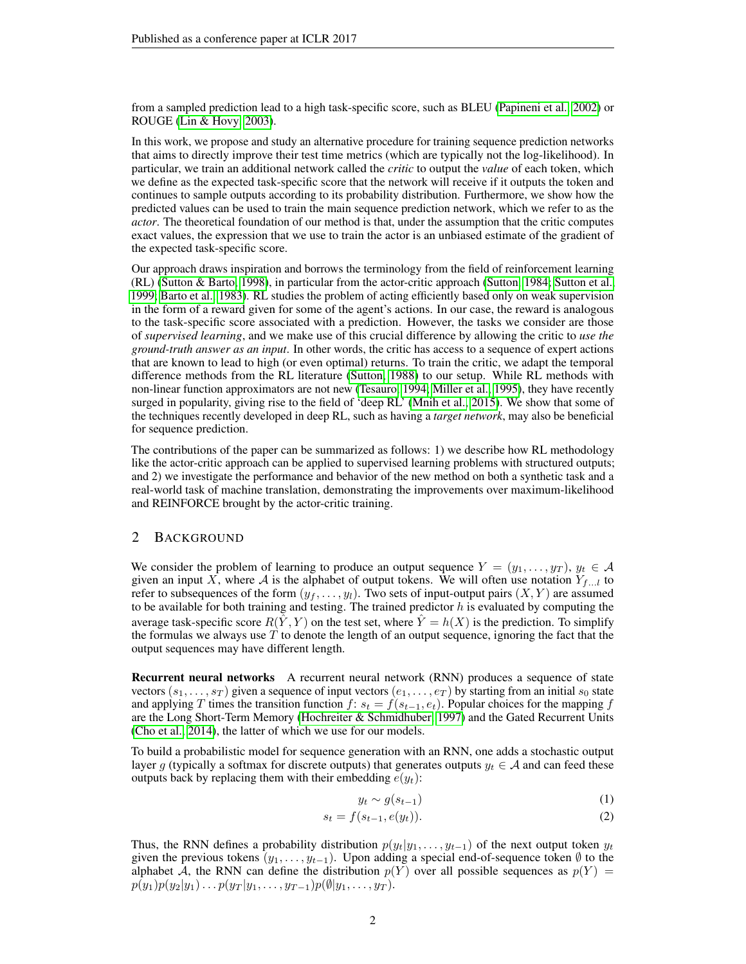from a sampled prediction lead to a high task-specific score, such as BLEU [\(Papineni et al., 2002\)](#page-12-4) or ROUGE [\(Lin & Hovy, 2003\)](#page-11-4).

In this work, we propose and study an alternative procedure for training sequence prediction networks that aims to directly improve their test time metrics (which are typically not the log-likelihood). In particular, we train an additional network called the *critic* to output the *value* of each token, which we define as the expected task-specific score that the network will receive if it outputs the token and continues to sample outputs according to its probability distribution. Furthermore, we show how the predicted values can be used to train the main sequence prediction network, which we refer to as the *actor*. The theoretical foundation of our method is that, under the assumption that the critic computes exact values, the expression that we use to train the actor is an unbiased estimate of the gradient of the expected task-specific score.

Our approach draws inspiration and borrows the terminology from the field of reinforcement learning (RL) [\(Sutton & Barto, 1998\)](#page-12-5), in particular from the actor-critic approach [\(Sutton, 1984;](#page-12-6) [Sutton et al.,](#page-12-7) [1999;](#page-12-7) [Barto et al., 1983\)](#page-10-3). RL studies the problem of acting efficiently based only on weak supervision in the form of a reward given for some of the agent's actions. In our case, the reward is analogous to the task-specific score associated with a prediction. However, the tasks we consider are those of *supervised learning*, and we make use of this crucial difference by allowing the critic to *use the ground-truth answer as an input*. In other words, the critic has access to a sequence of expert actions that are known to lead to high (or even optimal) returns. To train the critic, we adapt the temporal difference methods from the RL literature [\(Sutton, 1988\)](#page-12-8) to our setup. While RL methods with non-linear function approximators are not new [\(Tesauro, 1994;](#page-12-9) [Miller et al., 1995\)](#page-11-5), they have recently surged in popularity, giving rise to the field of 'deep RL' [\(Mnih et al., 2015\)](#page-11-6). We show that some of the techniques recently developed in deep RL, such as having a *target network*, may also be beneficial for sequence prediction.

The contributions of the paper can be summarized as follows: 1) we describe how RL methodology like the actor-critic approach can be applied to supervised learning problems with structured outputs; and 2) we investigate the performance and behavior of the new method on both a synthetic task and a real-world task of machine translation, demonstrating the improvements over maximum-likelihood and REINFORCE brought by the actor-critic training.

#### 2 BACKGROUND

We consider the problem of learning to produce an output sequence  $Y = (y_1, \ldots, y_T), y_t \in \mathcal{A}$ given an input X, where A is the alphabet of output tokens. We will often use notation  $Y_{f...l}$  to refer to subsequences of the form  $(y_f, \ldots, y_l)$ . Two sets of input-output pairs  $(X, Y)$  are assumed to be available for both training and testing. The trained predictor  $h$  is evaluated by computing the average task-specific score  $R(\hat{Y}, Y)$  on the test set, where  $\hat{Y} = h(X)$  is the prediction. To simplify the formulas we always use  $T$  to denote the length of an output sequence, ignoring the fact that the output sequences may have different length.

Recurrent neural networks A recurrent neural network (RNN) produces a sequence of state vectors  $(s_1, \ldots, s_T)$  given a sequence of input vectors  $(e_1, \ldots, e_T)$  by starting from an initial  $s_0$  state and applying T times the transition function  $f: s_t = f(s_{t-1}, e_t)$ . Popular choices for the mapping f are the Long Short-Term Memory [\(Hochreiter & Schmidhuber, 1997\)](#page-11-7) and the Gated Recurrent Units [\(Cho et al., 2014\)](#page-11-8), the latter of which we use for our models.

To build a probabilistic model for sequence generation with an RNN, one adds a stochastic output layer g (typically a softmax for discrete outputs) that generates outputs  $y_t \in A$  and can feed these outputs back by replacing them with their embedding  $e(y_t)$ :

$$
y_t \sim g(s_{t-1})\tag{1}
$$

$$
s_t = f(s_{t-1}, e(y_t)).
$$
\n(2)

Thus, the RNN defines a probability distribution  $p(y_t|y_1, \ldots, y_{t-1})$  of the next output token  $y_t$ given the previous tokens  $(y_1, \ldots, y_{t-1})$ . Upon adding a special end-of-sequence token  $\emptyset$  to the alphabet A, the RNN can define the distribution  $p(Y)$  over all possible sequences as  $p(Y)$  =  $p(y_1)p(y_2|y_1)\ldots p(y_T|y_1,\ldots,y_{T-1})p(\emptyset|y_1,\ldots,y_T).$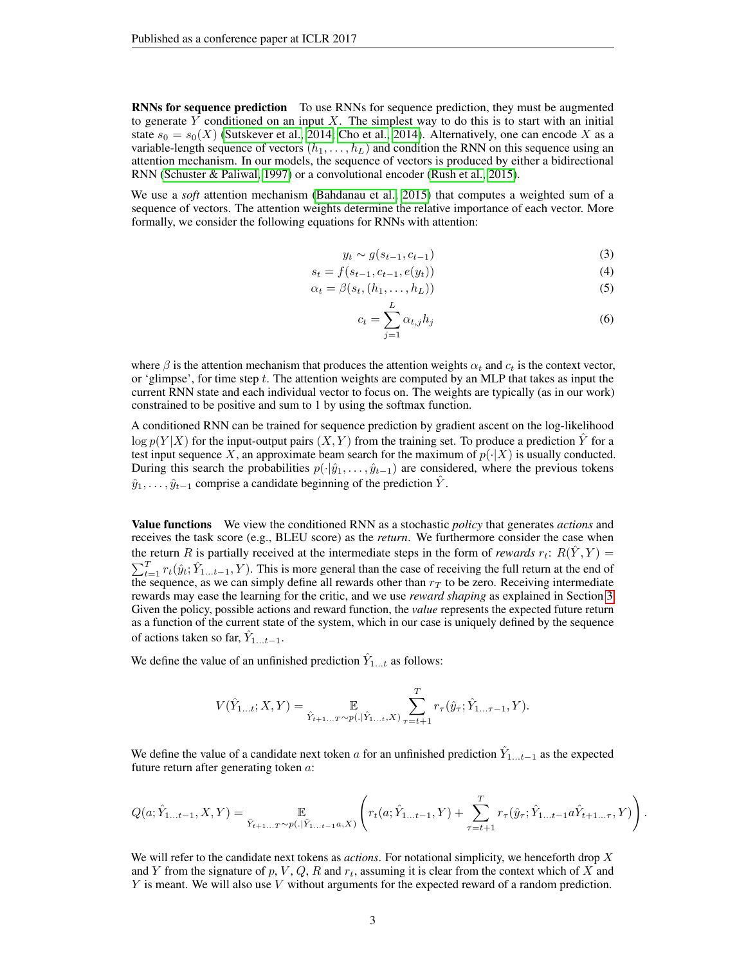RNNs for sequence prediction To use RNNs for sequence prediction, they must be augmented to generate Y conditioned on an input X. The simplest way to do this is to start with an initial state  $s_0 = s_0(X)$  [\(Sutskever et al., 2014;](#page-12-0) [Cho et al., 2014\)](#page-11-8). Alternatively, one can encode X as a variable-length sequence of vectors  $(h_1, \ldots, h_L)$  and condition the RNN on this sequence using an attention mechanism. In our models, the sequence of vectors is produced by either a bidirectional RNN [\(Schuster & Paliwal, 1997\)](#page-12-10) or a convolutional encoder [\(Rush et al., 2015\)](#page-12-11).

We use a *soft* attention mechanism [\(Bahdanau et al., 2015\)](#page-10-0) that computes a weighted sum of a sequence of vectors. The attention weights determine the relative importance of each vector. More formally, we consider the following equations for RNNs with attention:

$$
y_t \sim g(s_{t-1}, c_{t-1}) \tag{3}
$$

$$
s_t = f(s_{t-1}, c_{t-1}, e(y_t))
$$
\n(4)

$$
\alpha_t = \beta(s_t, (h_1, \dots, h_L))
$$
\n<sup>(5)</sup>

$$
c_t = \sum_{j=1}^{L} \alpha_{t,j} h_j \tag{6}
$$

where  $\beta$  is the attention mechanism that produces the attention weights  $\alpha_t$  and  $c_t$  is the context vector, or 'glimpse', for time step t. The attention weights are computed by an MLP that takes as input the current RNN state and each individual vector to focus on. The weights are typically (as in our work) constrained to be positive and sum to 1 by using the softmax function.

L

A conditioned RNN can be trained for sequence prediction by gradient ascent on the log-likelihood  $\log p(Y|X)$  for the input-output pairs  $(X, Y)$  from the training set. To produce a prediction  $\hat{Y}$  for a test input sequence X, an approximate beam search for the maximum of  $p(\cdot|X)$  is usually conducted. During this search the probabilities  $p(\cdot|\hat{y}_1,\ldots,\hat{y}_{t-1})$  are considered, where the previous tokens  $\hat{y}_1, \ldots, \hat{y}_{t-1}$  comprise a candidate beginning of the prediction  $\hat{Y}$ .

Value functions We view the conditioned RNN as a stochastic *policy* that generates *actions* and receives the task score (e.g., BLEU score) as the *return*. We furthermore consider the case when the return R is partially received at the intermediate steps in the form of *rewards*  $r_t$ :  $R(Y, Y)$  =  $\sum_{t=1}^{T} r_t(\hat{y}_t; \hat{Y}_{1...t-1}, Y)$ . This is more general than the case of receiving the full return at the end of the sequence, as we can simply define all rewards other than  $r<sub>T</sub>$  to be zero. Receiving intermediate rewards may ease the learning for the critic, and we use *reward shaping* as explained in Section [3.](#page-4-0) Given the policy, possible actions and reward function, the *value* represents the expected future return as a function of the current state of the system, which in our case is uniquely defined by the sequence of actions taken so far,  $\hat{Y}_{1...t-1}$ .

We define the value of an unfinished prediction  $\hat{Y}_{1...t}$  as follows:

$$
V(\hat{Y}_{1...t}; X, Y) = \mathop{\mathbb{E}}_{\hat{Y}_{t+1...T} \sim p(.|\hat{Y}_{1...t}, X)} \sum_{\tau=t+1}^{T} r_{\tau}(\hat{y}_{\tau}; \hat{Y}_{1... \tau-1}, Y).
$$

We define the value of a candidate next token a for an unfinished prediction  $\hat{Y}_{1...t-1}$  as the expected future return after generating token a:

$$
Q(a; \hat{Y}_{1...t-1}, X, Y) = \mathop{\mathbb{E}}_{\hat{Y}_{t+1...T} \sim p(.|\hat{Y}_{1...t-1}a, X)} \left( r_t(a; \hat{Y}_{1...t-1}, Y) + \sum_{\tau=t+1}^T r_\tau(\hat{y}_\tau; \hat{Y}_{1...t-1}a \hat{Y}_{t+1... \tau}, Y) \right).
$$

We will refer to the candidate next tokens as *actions*. For notational simplicity, we henceforth drop X and Y from the signature of p, V, Q, R and  $r_t$ , assuming it is clear from the context which of X and Y is meant. We will also use V without arguments for the expected reward of a random prediction.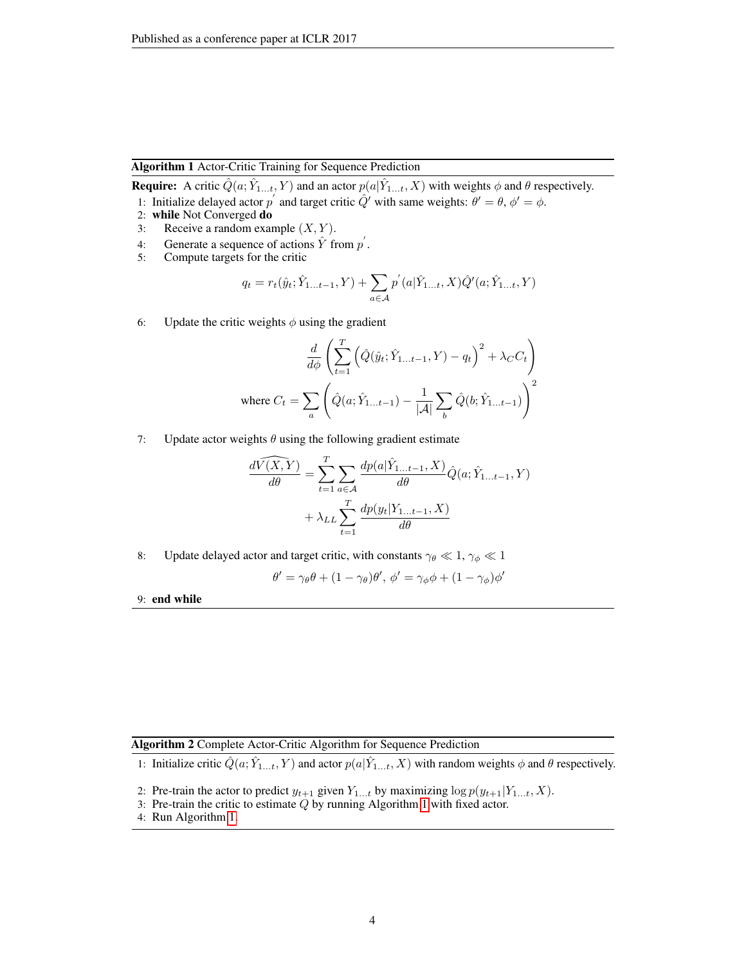#### Algorithm 1 Actor-Critic Training for Sequence Prediction

<span id="page-3-0"></span>**Require:** A critic  $\hat{Q}(a; \hat{Y}_{1...t}, Y)$  and an actor  $p(a|\hat{Y}_{1...t}, X)$  with weights  $\phi$  and  $\theta$  respectively. 1: Initialize delayed actor  $p'$  and target critic  $\hat{Q}'$  with same weights:  $\theta' = \theta$ ,  $\phi' = \phi$ .

- 2: while Not Converged do
- 3: Receive a random example  $(X, Y)$ .
- 4: Generate a sequence of actions  $\hat{Y}$  from  $p'$ .
- 5: Compute targets for the critic

$$
q_t = r_t(\hat{y}_t; \hat{Y}_{1...t-1}, Y) + \sum_{a \in \mathcal{A}} p'(a | \hat{Y}_{1...t}, X) \hat{Q}'(a; \hat{Y}_{1...t}, Y)
$$

6: Update the critic weights  $\phi$  using the gradient

$$
\frac{d}{d\phi} \left( \sum_{t=1}^{T} \left( \hat{Q}(\hat{y}_t; \hat{Y}_{1...t-1}, Y) - q_t \right)^2 + \lambda_C C_t \right)
$$
  
where  $C_t = \sum_a \left( \hat{Q}(a; \hat{Y}_{1...t-1}) - \frac{1}{|\mathcal{A}|} \sum_b \hat{Q}(b; \hat{Y}_{1...t-1}) \right)^2$ 

7: Update actor weights  $\theta$  using the following gradient estimate

$$
\frac{d\widehat{V(X,Y})}{d\theta} = \sum_{t=1}^{T} \sum_{a \in \mathcal{A}} \frac{dp(a|\hat{Y}_{1...t-1}, X)}{d\theta} \hat{Q}(a; \hat{Y}_{1...t-1}, Y)
$$

$$
+ \lambda_{LL} \sum_{t=1}^{T} \frac{dp(y_t|Y_{1...t-1}, X)}{d\theta}
$$

8: Update delayed actor and target critic, with constants  $\gamma_{\theta} \ll 1$ ,  $\gamma_{\phi} \ll 1$ 

$$
\theta' = \gamma_{\theta}\theta + (1 - \gamma_{\theta})\theta', \phi' = \gamma_{\phi}\phi + (1 - \gamma_{\phi})\phi'
$$

9: end while

Algorithm 2 Complete Actor-Critic Algorithm for Sequence Prediction

<span id="page-3-1"></span>1: Initialize critic  $\hat{Q}(a; \hat{Y}_{1...t}, Y)$  and actor  $p(a|\hat{Y}_{1...t}, X)$  with random weights  $\phi$  and  $\theta$  respectively.

- 2: Pre-train the actor to predict  $y_{t+1}$  given  $Y_{1...t}$  by maximizing  $\log p(y_{t+1}|Y_{1...t}, X)$ .
- 3: Pre-train the critic to estimate  $Q$  by running Algorithm [1](#page-3-0) with fixed actor.
- 4: Run Algorithm [1.](#page-3-0)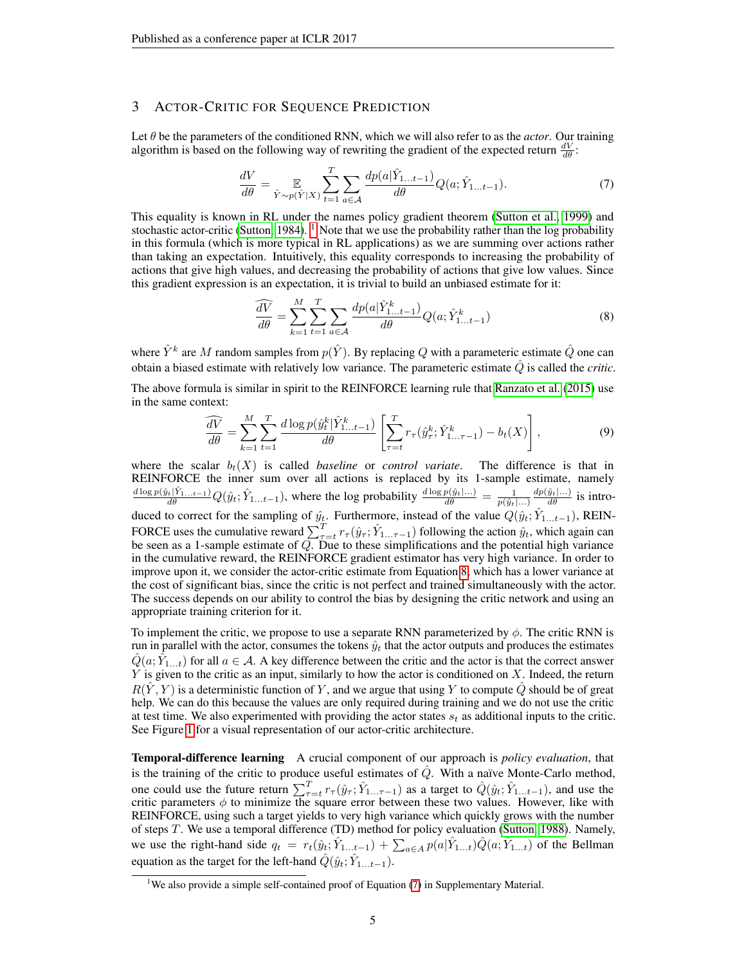#### <span id="page-4-0"></span>3 ACTOR-CRITIC FOR SEQUENCE PREDICTION

Let θ be the parameters of the conditioned RNN, which we will also refer to as the *actor*. Our training algorithm is based on the following way of rewriting the gradient of the expected return  $\frac{dV}{d\theta}$ :

<span id="page-4-3"></span>
$$
\frac{dV}{d\theta} = \mathop{\mathbb{E}}_{\hat{Y} \sim p(\hat{Y}|X)} \sum_{t=1}^{T} \sum_{a \in \mathcal{A}} \frac{dp(a|\hat{Y}_{1...t-1})}{d\theta} Q(a; \hat{Y}_{1...t-1}).
$$
\n(7)

This equality is known in RL under the names policy gradient theorem [\(Sutton et al., 1999\)](#page-12-7) and stochastic actor-critic [\(Sutton, 1984\)](#page-12-6). <sup>[1](#page-4-1)</sup> Note that we use the probability rather than the log probability in this formula (which is more typical in RL applications) as we are summing over actions rather than taking an expectation. Intuitively, this equality corresponds to increasing the probability of actions that give high values, and decreasing the probability of actions that give low values. Since this gradient expression is an expectation, it is trivial to build an unbiased estimate for it:

<span id="page-4-2"></span>
$$
\frac{\widehat{dV}}{d\theta} = \sum_{k=1}^{M} \sum_{t=1}^{T} \sum_{a \in \mathcal{A}} \frac{dp(a|\hat{Y}_{1...t-1}^k)}{d\theta} Q(a; \hat{Y}_{1...t-1}^k)
$$
(8)

where  $\hat{Y}^k$  are M random samples from  $p(\hat{Y})$ . By replacing Q with a parameteric estimate  $\hat{Q}$  one can obtain a biased estimate with relatively low variance. The parameteric estimate  $\hat{Q}$  is called the *critic*.

The above formula is similar in spirit to the REINFORCE learning rule that [Ranzato et al.](#page-12-2) [\(2015\)](#page-12-2) use in the same context:

$$
\frac{\widehat{dV}}{d\theta} = \sum_{k=1}^{M} \sum_{t=1}^{T} \frac{d \log p(\hat{y}_t^k | \hat{Y}_{1...t-1}^k)}{d\theta} \left[ \sum_{\tau=t}^{T} r_\tau(\hat{y}_\tau^k; \hat{Y}_{1...t-1}^k) - b_t(X) \right],\tag{9}
$$

where the scalar  $b_t(X)$  is called *baseline* or *control variate*. The difference is that in REINFORCE the inner sum over all actions is replaced by its 1-sample estimate, namely  $\frac{d \log p(\hat{y}_t|\hat{Y}_{1...t-1})}{d \theta} Q(\hat{y}_t; \hat{Y}_{1...t-1}),$  where the log probability  $\frac{d \log p(\hat{y}_t|...)}{d \theta} = \frac{1}{p(\hat{y}_t|...)}$  $\frac{dp(\hat{y}_t|...)}{d\theta}$  is introduced to correct for the sampling of  $\hat{y}_t$ . Furthermore, instead of the value  $Q(\hat{y}_t; \hat{Y}_{1...t-1})$ , REIN-FORCE uses the cumulative reward  $\sum_{\tau=t}^{T} r_{\tau}(\hat{y}_{\tau}; \hat{Y}_{1... \tau-1})$  following the action  $\hat{y}_t$ , which again can be seen as a 1-sample estimate of  $Q$ . Due to these simplifications and the potential high variance in the cumulative reward, the REINFORCE gradient estimator has very high variance. In order to improve upon it, we consider the actor-critic estimate from Equation [8,](#page-4-2) which has a lower variance at the cost of significant bias, since the critic is not perfect and trained simultaneously with the actor. The success depends on our ability to control the bias by designing the critic network and using an appropriate training criterion for it.

To implement the critic, we propose to use a separate RNN parameterized by  $\phi$ . The critic RNN is run in parallel with the actor, consumes the tokens  $\hat{y}_t$  that the actor outputs and produces the estimates  $\hat{Q}(a; \hat{Y}_{1...t})$  for all  $a \in \mathcal{A}$ . A key difference between the critic and the actor is that the correct answer  $Y$  is given to the critic as an input, similarly to how the actor is conditioned on  $X$ . Indeed, the return  $R(\hat{Y}, Y)$  is a deterministic function of Y, and we argue that using Y to compute  $\hat{Q}$  should be of great help. We can do this because the values are only required during training and we do not use the critic at test time. We also experimented with providing the actor states  $s_t$  as additional inputs to the critic. See Figure [1](#page-5-0) for a visual representation of our actor-critic architecture.

Temporal-difference learning A crucial component of our approach is *policy evaluation*, that is the training of the critic to produce useful estimates of  $Q$ . With a naïve Monte-Carlo method, one could use the future return  $\sum_{\tau=t}^{T} r_{\tau}(\hat{y}_{\tau}; \hat{Y}_{1... \tau-1})$  as a target to  $\hat{Q}(\hat{y}_t; \hat{Y}_{1...t-1})$ , and use the critic parameters  $\phi$  to minimize the square error between these two values. However, like with REINFORCE, using such a target yields to very high variance which quickly grows with the number of steps T. We use a temporal difference (TD) method for policy evaluation [\(Sutton, 1988\)](#page-12-8). Namely, we use the right-hand side  $q_t = r_t(\hat{y}_t; \hat{Y}_{1...t-1}) + \sum_{a \in A} p(a|\hat{Y}_{1...t}) \hat{Q}(a; \hat{Y}_{1...t})$  of the Bellman equation as the target for the left-hand  $\hat{Q}(\hat{y}_t; \hat{Y}_{1...t-1})$ .

<span id="page-4-1"></span><sup>&</sup>lt;sup>1</sup>We also provide a simple self-contained proof of Equation  $(7)$  in Supplementary Material.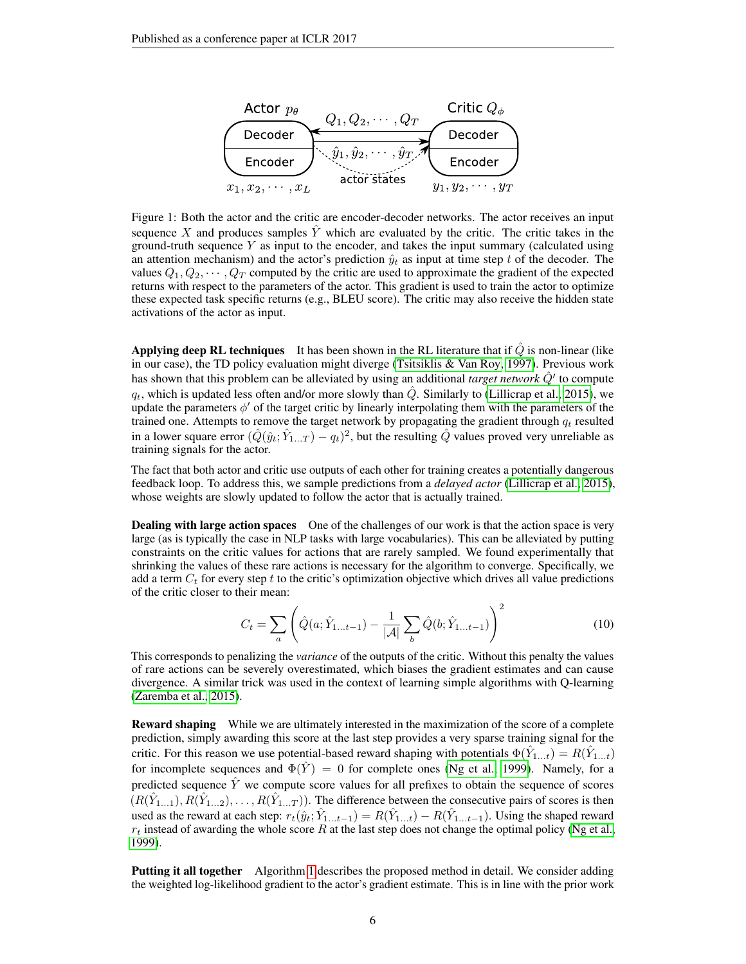<span id="page-5-0"></span>

Figure 1: Both the actor and the critic are encoder-decoder networks. The actor receives an input sequence X and produces samples  $\hat{Y}$  which are evaluated by the critic. The critic takes in the ground-truth sequence  $Y$  as input to the encoder, and takes the input summary (calculated using an attention mechanism) and the actor's prediction  $\hat{y}_t$  as input at time step t of the decoder. The values  $Q_1, Q_2, \cdots, Q_T$  computed by the critic are used to approximate the gradient of the expected returns with respect to the parameters of the actor. This gradient is used to train the actor to optimize these expected task specific returns (e.g., BLEU score). The critic may also receive the hidden state activations of the actor as input.

Applying deep RL techniques It has been shown in the RL literature that if  $\hat{Q}$  is non-linear (like in our case), the TD policy evaluation might diverge [\(Tsitsiklis & Van Roy, 1997\)](#page-12-12). Previous work has shown that this problem can be alleviated by using an additional *target network*  $\hat{Q}'$  to compute  $q_t$ , which is updated less often and/or more slowly than  $\hat{Q}$ . Similarly to [\(Lillicrap et al., 2015\)](#page-11-9), we update the parameters  $\phi'$  of the target critic by linearly interpolating them with the parameters of the trained one. Attempts to remove the target network by propagating the gradient through  $q_t$  resulted in a lower square error  $(\hat{Q}(\hat{y}_t; \hat{Y}_{1...T}) - q_t)^2$ , but the resulting  $\hat{Q}$  values proved very unreliable as training signals for the actor.

The fact that both actor and critic use outputs of each other for training creates a potentially dangerous feedback loop. To address this, we sample predictions from a *delayed actor* [\(Lillicrap et al., 2015\)](#page-11-9), whose weights are slowly updated to follow the actor that is actually trained.

Dealing with large action spaces One of the challenges of our work is that the action space is very large (as is typically the case in NLP tasks with large vocabularies). This can be alleviated by putting constraints on the critic values for actions that are rarely sampled. We found experimentally that shrinking the values of these rare actions is necessary for the algorithm to converge. Specifically, we add a term  $C_t$  for every step t to the critic's optimization objective which drives all value predictions of the critic closer to their mean:

<span id="page-5-1"></span>
$$
C_t = \sum_{a} \left( \hat{Q}(a; \hat{Y}_{1...t-1}) - \frac{1}{|\mathcal{A}|} \sum_{b} \hat{Q}(b; \hat{Y}_{1...t-1}) \right)^2
$$
(10)

This corresponds to penalizing the *variance* of the outputs of the critic. Without this penalty the values of rare actions can be severely overestimated, which biases the gradient estimates and can cause divergence. A similar trick was used in the context of learning simple algorithms with Q-learning [\(Zaremba et al., 2015\)](#page-13-1).

**Reward shaping** While we are ultimately interested in the maximization of the score of a complete prediction, simply awarding this score at the last step provides a very sparse training signal for the critic. For this reason we use potential-based reward shaping with potentials  $\Phi(\hat{Y}_{1...t}) = R(\hat{Y}_{1...t})$ for incomplete sequences and  $\Phi(\hat{Y}) = 0$  for complete ones [\(Ng et al., 1999\)](#page-12-13). Namely, for a predicted sequence  $\hat{Y}$  we compute score values for all prefixes to obtain the sequence of scores  $(R(\hat{Y}_{1...1}), R(\hat{Y}_{1...2}), \ldots, R(\hat{Y}_{1...T})$ . The difference between the consecutive pairs of scores is then used as the reward at each step:  $r_t(\hat{y}_t; \hat{Y}_{1...t-1}) = R(\hat{Y}_{1...t}) - R(\hat{Y}_{1...t-1})$ . Using the shaped reward  $r_t$  instead of awarding the whole score R at the last step does not change the optimal policy [\(Ng et al.,](#page-12-13) [1999\)](#page-12-13).

Putting it all together Algorithm [1](#page-3-0) describes the proposed method in detail. We consider adding the weighted log-likelihood gradient to the actor's gradient estimate. This is in line with the prior work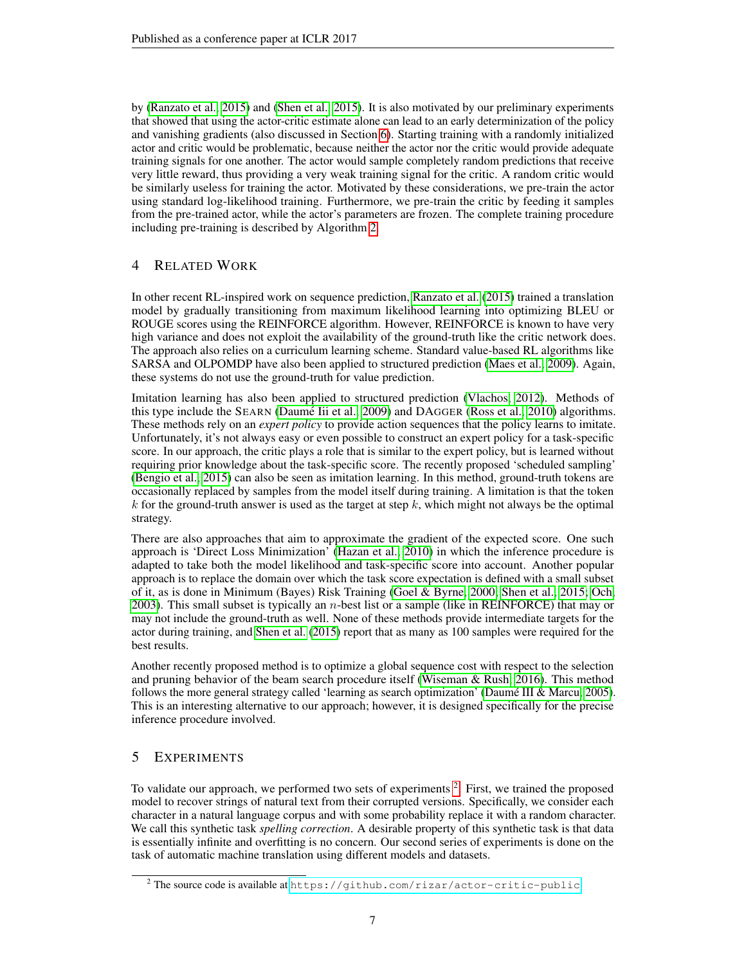by [\(Ranzato et al., 2015\)](#page-12-2) and [\(Shen et al., 2015\)](#page-12-14). It is also motivated by our preliminary experiments that showed that using the actor-critic estimate alone can lead to an early determinization of the policy and vanishing gradients (also discussed in Section [6\)](#page-10-4). Starting training with a randomly initialized actor and critic would be problematic, because neither the actor nor the critic would provide adequate training signals for one another. The actor would sample completely random predictions that receive very little reward, thus providing a very weak training signal for the critic. A random critic would be similarly useless for training the actor. Motivated by these considerations, we pre-train the actor using standard log-likelihood training. Furthermore, we pre-train the critic by feeding it samples from the pre-trained actor, while the actor's parameters are frozen. The complete training procedure including pre-training is described by Algorithm [2.](#page-3-1)

## 4 RELATED WORK

In other recent RL-inspired work on sequence prediction, [Ranzato et al.](#page-12-2) [\(2015\)](#page-12-2) trained a translation model by gradually transitioning from maximum likelihood learning into optimizing BLEU or ROUGE scores using the REINFORCE algorithm. However, REINFORCE is known to have very high variance and does not exploit the availability of the ground-truth like the critic network does. The approach also relies on a curriculum learning scheme. Standard value-based RL algorithms like SARSA and OLPOMDP have also been applied to structured prediction [\(Maes et al., 2009\)](#page-11-10). Again, these systems do not use the ground-truth for value prediction.

Imitation learning has also been applied to structured prediction [\(Vlachos, 2012\)](#page-12-15). Methods of this type include the SEARN (Daumé Iii et al., 2009) and DAGGER [\(Ross et al., 2010\)](#page-12-16) algorithms. These methods rely on an *expert policy* to provide action sequences that the policy learns to imitate. Unfortunately, it's not always easy or even possible to construct an expert policy for a task-specific score. In our approach, the critic plays a role that is similar to the expert policy, but is learned without requiring prior knowledge about the task-specific score. The recently proposed 'scheduled sampling' [\(Bengio et al., 2015\)](#page-10-2) can also be seen as imitation learning. In this method, ground-truth tokens are occasionally replaced by samples from the model itself during training. A limitation is that the token k for the ground-truth answer is used as the target at step k, which might not always be the optimal strategy.

There are also approaches that aim to approximate the gradient of the expected score. One such approach is 'Direct Loss Minimization' [\(Hazan et al., 2010\)](#page-11-12) in which the inference procedure is adapted to take both the model likelihood and task-specific score into account. Another popular approach is to replace the domain over which the task score expectation is defined with a small subset of it, as is done in Minimum (Bayes) Risk Training [\(Goel & Byrne, 2000;](#page-11-13) [Shen et al., 2015;](#page-12-14) [Och,](#page-12-17)  $2003$ ). This small subset is typically an *n*-best list or a sample (like in REINFORCE) that may or may not include the ground-truth as well. None of these methods provide intermediate targets for the actor during training, and [Shen et al.](#page-12-14) [\(2015\)](#page-12-14) report that as many as 100 samples were required for the best results.

Another recently proposed method is to optimize a global sequence cost with respect to the selection and pruning behavior of the beam search procedure itself [\(Wiseman & Rush, 2016\)](#page-13-2). This method follows the more general strategy called 'learning as search optimization' (Daumé III & Marcu, 2005). This is an interesting alternative to our approach; however, it is designed specifically for the precise inference procedure involved.

## 5 EXPERIMENTS

To validate our approach, we performed two sets of experiments  $2$ . First, we trained the proposed model to recover strings of natural text from their corrupted versions. Specifically, we consider each character in a natural language corpus and with some probability replace it with a random character. We call this synthetic task *spelling correction*. A desirable property of this synthetic task is that data is essentially infinite and overfitting is no concern. Our second series of experiments is done on the task of automatic machine translation using different models and datasets.

<span id="page-6-0"></span><sup>&</sup>lt;sup>2</sup> The source code is available at <https://github.com/rizar/actor-critic-public>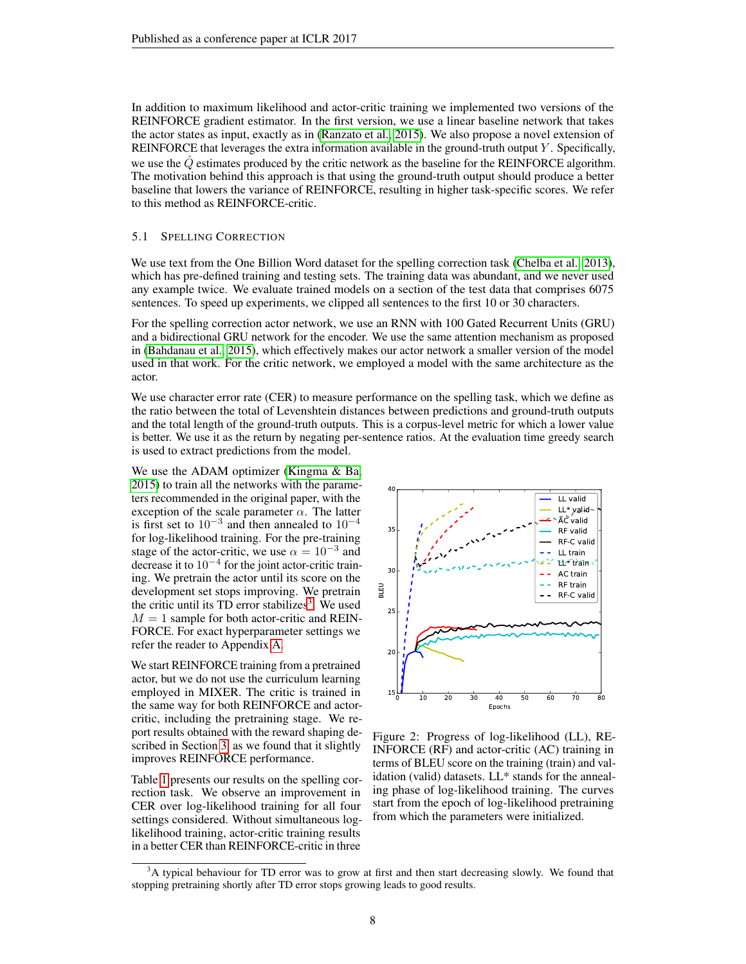In addition to maximum likelihood and actor-critic training we implemented two versions of the REINFORCE gradient estimator. In the first version, we use a linear baseline network that takes the actor states as input, exactly as in [\(Ranzato et al., 2015\)](#page-12-2). We also propose a novel extension of REINFORCE that leverages the extra information available in the ground-truth output Y . Specifically, we use the  $Q$  estimates produced by the critic network as the baseline for the REINFORCE algorithm. The motivation behind this approach is that using the ground-truth output should produce a better baseline that lowers the variance of REINFORCE, resulting in higher task-specific scores. We refer to this method as REINFORCE-critic.

#### 5.1 SPELLING CORRECTION

We use text from the One Billion Word dataset for the spelling correction task [\(Chelba et al., 2013\)](#page-11-15), which has pre-defined training and testing sets. The training data was abundant, and we never used any example twice. We evaluate trained models on a section of the test data that comprises 6075 sentences. To speed up experiments, we clipped all sentences to the first 10 or 30 characters.

For the spelling correction actor network, we use an RNN with 100 Gated Recurrent Units (GRU) and a bidirectional GRU network for the encoder. We use the same attention mechanism as proposed in [\(Bahdanau et al., 2015\)](#page-10-0), which effectively makes our actor network a smaller version of the model used in that work. For the critic network, we employed a model with the same architecture as the actor.

We use character error rate (CER) to measure performance on the spelling task, which we define as the ratio between the total of Levenshtein distances between predictions and ground-truth outputs and the total length of the ground-truth outputs. This is a corpus-level metric for which a lower value is better. We use it as the return by negating per-sentence ratios. At the evaluation time greedy search is used to extract predictions from the model.

We use the ADAM optimizer [\(Kingma & Ba,](#page-11-16) [2015\)](#page-11-16) to train all the networks with the parameters recommended in the original paper, with the exception of the scale parameter  $\alpha$ . The latter is first set to  $10^{-3}$  and then annealed to  $10^{-4}$ for log-likelihood training. For the pre-training stage of the actor-critic, we use  $\alpha = 10^{-3}$  and decrease it to  $10^{-4}$  for the joint actor-critic training. We pretrain the actor until its score on the development set stops improving. We pretrain the critic until its  $TD$  error stabilizes<sup>[3](#page-7-0)</sup>. We used  $M = 1$  sample for both actor-critic and REIN-FORCE. For exact hyperparameter settings we refer the reader to Appendix [A.](#page-14-0)

We start REINFORCE training from a pretrained actor, but we do not use the curriculum learning employed in MIXER. The critic is trained in the same way for both REINFORCE and actorcritic, including the pretraining stage. We report results obtained with the reward shaping described in Section [3,](#page-4-0) as we found that it slightly improves REINFORCE performance.

Table [1](#page-8-0) presents our results on the spelling correction task. We observe an improvement in CER over log-likelihood training for all four settings considered. Without simultaneous loglikelihood training, actor-critic training results in a better CER than REINFORCE-critic in three



<span id="page-7-1"></span>Figure 2: Progress of log-likelihood (LL), RE-INFORCE (RF) and actor-critic (AC) training in terms of BLEU score on the training (train) and validation (valid) datasets. LL\* stands for the annealing phase of log-likelihood training. The curves start from the epoch of log-likelihood pretraining from which the parameters were initialized.

<span id="page-7-0"></span><sup>&</sup>lt;sup>3</sup>A typical behaviour for TD error was to grow at first and then start decreasing slowly. We found that stopping pretraining shortly after TD error stops growing leads to good results.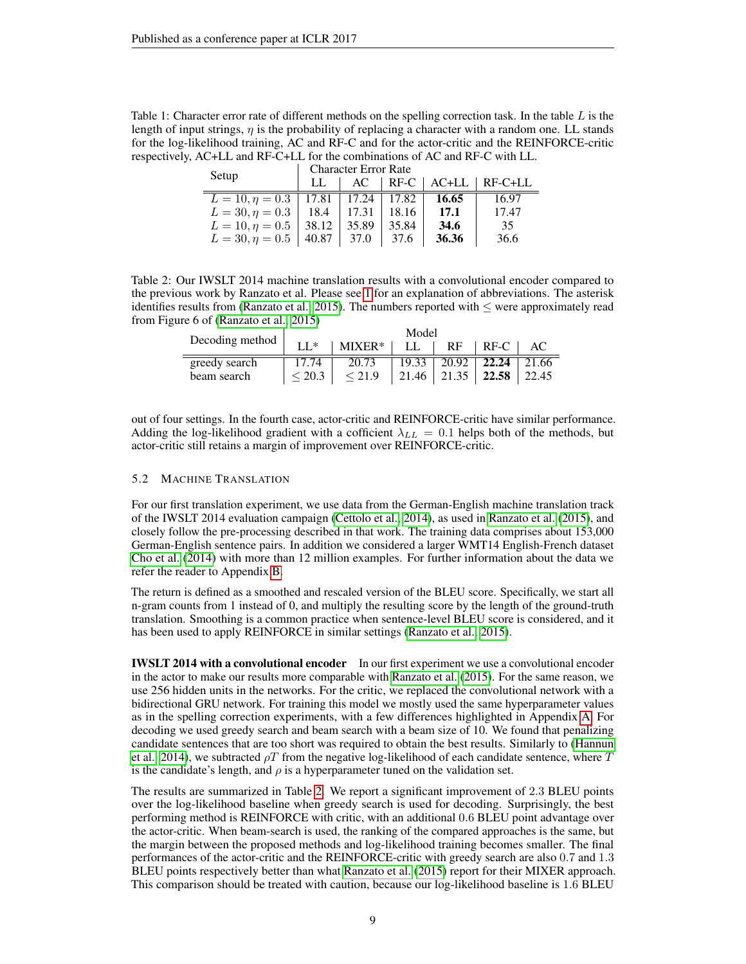<span id="page-8-0"></span>Table 1: Character error rate of different methods on the spelling correction task. In the table  $L$  is the length of input strings,  $\eta$  is the probability of replacing a character with a random one. LL stands for the log-likelihood training, AC and RF-C and for the actor-critic and the REINFORCE-critic respectively, AC+LL and RF-C+LL for the combinations of AC and RF-C with LL.

| Setup                                        | <b>Character Error Rate</b> |  |           |        |                               |  |  |  |
|----------------------------------------------|-----------------------------|--|-----------|--------|-------------------------------|--|--|--|
|                                              | LL                          |  |           |        | $AC$   RF-C   AC+LL   RF-C+LL |  |  |  |
| $L = 10, \eta = 0.3$   17.81   17.24   17.82 |                             |  |           | 16.65  | 16.97                         |  |  |  |
| $L = 30, \eta = 0.3$   18.4   17.31   18.16  |                             |  |           | - 17.1 | 17.47                         |  |  |  |
| $L = 10, \eta = 0.5$   38.12   35.89         |                             |  | 35.84     | 34.6   | 35                            |  |  |  |
| $L = 30, \eta = 0.5$   40.87   37.0          |                             |  | $1\,37.6$ | 36.36  | 36.6                          |  |  |  |

<span id="page-8-1"></span>Table 2: Our IWSLT 2014 machine translation results with a convolutional encoder compared to the previous work by Ranzato et al. Please see [1](#page-8-0) for an explanation of abbreviations. The asterisk identifies results from [\(Ranzato et al., 2015\)](#page-12-2). The numbers reported with  $\leq$  were approximately read from Figure 6 of [\(Ranzato et al., 2015\)](#page-12-2)

|                 | Model            |                  |  |                             |                               |       |  |  |  |
|-----------------|------------------|------------------|--|-----------------------------|-------------------------------|-------|--|--|--|
| Decoding method | $II*$            | $MIXER*$         |  | <b>RF</b>                   | RF-C                          |       |  |  |  |
| greedy search   | 17.74            | 20.73            |  | $19.33 \pm 20.92 \pm 22.24$ |                               | 21.66 |  |  |  |
| beam search     | ${}_{\leq 20.3}$ | ${}_{\leq 21.9}$ |  |                             | 21.46   21.35   22.58   22.45 |       |  |  |  |

out of four settings. In the fourth case, actor-critic and REINFORCE-critic have similar performance. Adding the log-likelihood gradient with a cofficient  $\lambda_{LL} = 0.1$  helps both of the methods, but actor-critic still retains a margin of improvement over REINFORCE-critic.

#### 5.2 MACHINE TRANSLATION

For our first translation experiment, we use data from the German-English machine translation track of the IWSLT 2014 evaluation campaign [\(Cettolo et al., 2014\)](#page-10-5), as used in [Ranzato et al.](#page-12-2) [\(2015\)](#page-12-2), and closely follow the pre-processing described in that work. The training data comprises about 153,000 German-English sentence pairs. In addition we considered a larger WMT14 English-French dataset [Cho et al.](#page-11-8) [\(2014\)](#page-11-8) with more than 12 million examples. For further information about the data we refer the reader to Appendix [B.](#page-14-1)

The return is defined as a smoothed and rescaled version of the BLEU score. Specifically, we start all n-gram counts from 1 instead of 0, and multiply the resulting score by the length of the ground-truth translation. Smoothing is a common practice when sentence-level BLEU score is considered, and it has been used to apply REINFORCE in similar settings [\(Ranzato et al., 2015\)](#page-12-2).

**IWSLT 2014 with a convolutional encoder** In our first experiment we use a convolutional encoder in the actor to make our results more comparable with [Ranzato et al.](#page-12-2) [\(2015\)](#page-12-2). For the same reason, we use 256 hidden units in the networks. For the critic, we replaced the convolutional network with a bidirectional GRU network. For training this model we mostly used the same hyperparameter values as in the spelling correction experiments, with a few differences highlighted in Appendix [A.](#page-14-0) For decoding we used greedy search and beam search with a beam size of 10. We found that penalizing candidate sentences that are too short was required to obtain the best results. Similarly to [\(Hannun](#page-11-17) [et al., 2014\)](#page-11-17), we subtracted  $\rho T$  from the negative log-likelihood of each candidate sentence, where T is the candidate's length, and  $\rho$  is a hyperparameter tuned on the validation set.

The results are summarized in Table [2.](#page-8-1) We report a significant improvement of 2.3 BLEU points over the log-likelihood baseline when greedy search is used for decoding. Surprisingly, the best performing method is REINFORCE with critic, with an additional 0.6 BLEU point advantage over the actor-critic. When beam-search is used, the ranking of the compared approaches is the same, but the margin between the proposed methods and log-likelihood training becomes smaller. The final performances of the actor-critic and the REINFORCE-critic with greedy search are also 0.7 and 1.3 BLEU points respectively better than what [Ranzato et al.](#page-12-2) [\(2015\)](#page-12-2) report for their MIXER approach. This comparison should be treated with caution, because our log-likelihood baseline is 1.6 BLEU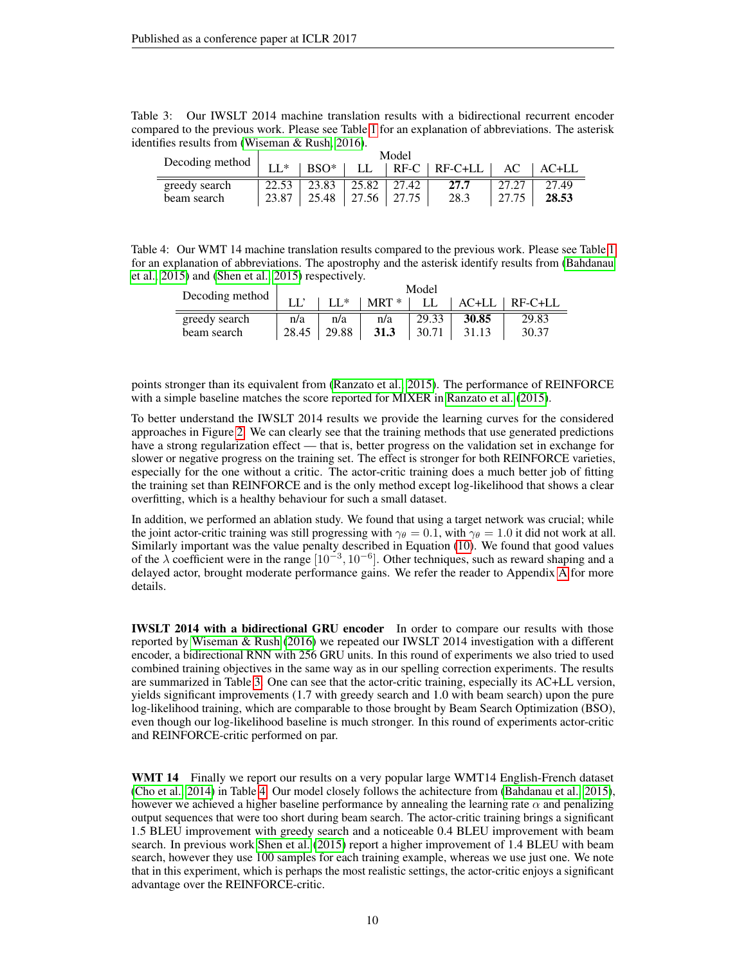<span id="page-9-0"></span>

| Table 3: Our IWSLT 2014 machine translation results with a bidirectional recurrent encoder          |  |  |  |  |  |
|-----------------------------------------------------------------------------------------------------|--|--|--|--|--|
| compared to the previous work. Please see Table 1 for an explanation of abbreviations. The asterisk |  |  |  |  |  |
| identifies results from (Wiseman & Rush, 2016).                                                     |  |  |  |  |  |

|                 | Model |                                 |  |  |                                         |                   |       |  |
|-----------------|-------|---------------------------------|--|--|-----------------------------------------|-------------------|-------|--|
| Decoding method | $II*$ |                                 |  |  | BSO*   LL   RF-C   RF-C+LL   AC   AC+LL |                   |       |  |
| greedy search   |       | $22.53$   23.83   25.82   27.42 |  |  | 27.7                                    |                   | 27.49 |  |
| beam search     |       | 23.87   25.48   27.56   27.75   |  |  | 28.3                                    | $\frac{27.75}{ }$ | 28.53 |  |

<span id="page-9-1"></span>Table 4: Our WMT 14 machine translation results compared to the previous work. Please see Table [1](#page-8-0) for an explanation of abbreviations. The apostrophy and the asterisk identify results from [\(Bahdanau](#page-10-0) [et al., 2015\)](#page-10-0) and [\(Shen et al., 2015\)](#page-12-14) respectively.

| Decoding method | Model |        |           |       |       |                 |  |  |
|-----------------|-------|--------|-----------|-------|-------|-----------------|--|--|
|                 |       | $II^*$ | $MRT *  $ | LL -  |       | AC+LL   RF-C+LL |  |  |
| greedy search   | n/a   | n/a    | n/a       | 29.33 | 30.85 | 29.83           |  |  |
| beam search     | 28.45 | 129.88 | 31.3      | 30.71 | 31.13 | 30.37           |  |  |

points stronger than its equivalent from [\(Ranzato et al., 2015\)](#page-12-2). The performance of REINFORCE with a simple baseline matches the score reported for MIXER in [Ranzato et al.](#page-12-2) [\(2015\)](#page-12-2).

To better understand the IWSLT 2014 results we provide the learning curves for the considered approaches in Figure [2.](#page-7-1) We can clearly see that the training methods that use generated predictions have a strong regularization effect — that is, better progress on the validation set in exchange for slower or negative progress on the training set. The effect is stronger for both REINFORCE varieties, especially for the one without a critic. The actor-critic training does a much better job of fitting the training set than REINFORCE and is the only method except log-likelihood that shows a clear overfitting, which is a healthy behaviour for such a small dataset.

In addition, we performed an ablation study. We found that using a target network was crucial; while the joint actor-critic training was still progressing with  $\gamma_{\theta} = 0.1$ , with  $\gamma_{\theta} = 1.0$  it did not work at all. Similarly important was the value penalty described in Equation [\(10\)](#page-5-1). We found that good values of the  $\lambda$  coefficient were in the range  $[10^{-3}, 10^{-6}]$ . Other techniques, such as reward shaping and a delayed actor, brought moderate performance gains. We refer the reader to Appendix [A](#page-14-0) for more details.

IWSLT 2014 with a bidirectional GRU encoder In order to compare our results with those reported by [Wiseman & Rush](#page-13-2) [\(2016\)](#page-13-2) we repeated our IWSLT 2014 investigation with a different encoder, a bidirectional RNN with 256 GRU units. In this round of experiments we also tried to used combined training objectives in the same way as in our spelling correction experiments. The results are summarized in Table [3.](#page-9-0) One can see that the actor-critic training, especially its AC+LL version, yields significant improvements (1.7 with greedy search and 1.0 with beam search) upon the pure log-likelihood training, which are comparable to those brought by Beam Search Optimization (BSO), even though our log-likelihood baseline is much stronger. In this round of experiments actor-critic and REINFORCE-critic performed on par.

WMT 14 Finally we report our results on a very popular large WMT14 English-French dataset [\(Cho et al., 2014\)](#page-11-8) in Table [4.](#page-9-1) Our model closely follows the achitecture from [\(Bahdanau et al., 2015\)](#page-10-0), however we achieved a higher baseline performance by annealing the learning rate  $\alpha$  and penalizing output sequences that were too short during beam search. The actor-critic training brings a significant 1.5 BLEU improvement with greedy search and a noticeable 0.4 BLEU improvement with beam search. In previous work [Shen et al.](#page-12-14) [\(2015\)](#page-12-14) report a higher improvement of 1.4 BLEU with beam search, however they use 100 samples for each training example, whereas we use just one. We note that in this experiment, which is perhaps the most realistic settings, the actor-critic enjoys a significant advantage over the REINFORCE-critic.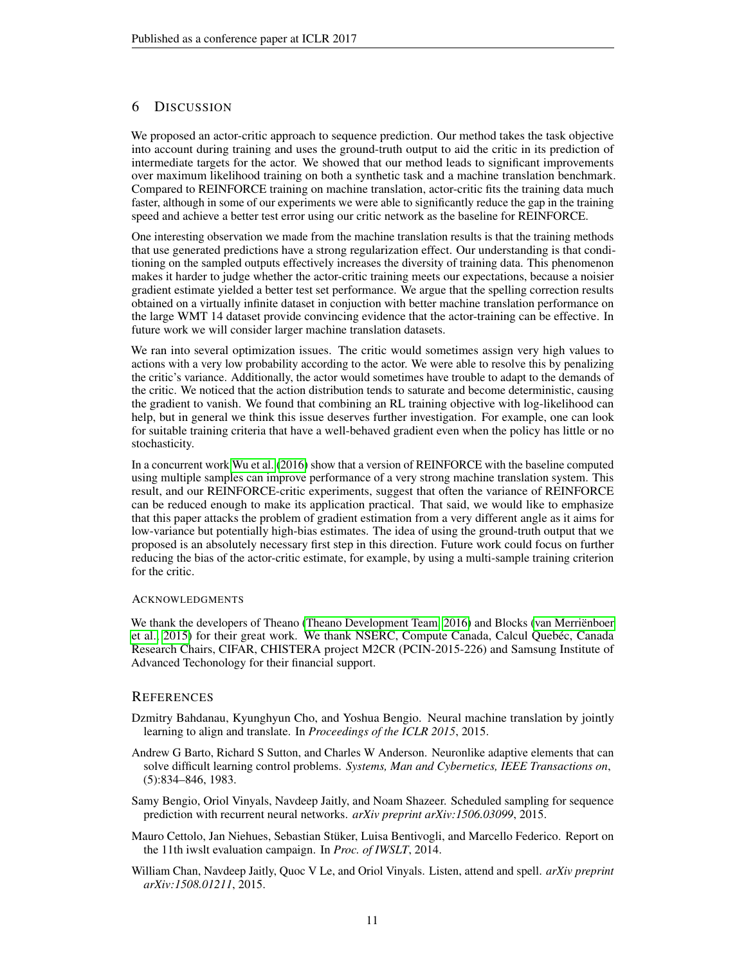### <span id="page-10-4"></span>6 DISCUSSION

We proposed an actor-critic approach to sequence prediction. Our method takes the task objective into account during training and uses the ground-truth output to aid the critic in its prediction of intermediate targets for the actor. We showed that our method leads to significant improvements over maximum likelihood training on both a synthetic task and a machine translation benchmark. Compared to REINFORCE training on machine translation, actor-critic fits the training data much faster, although in some of our experiments we were able to significantly reduce the gap in the training speed and achieve a better test error using our critic network as the baseline for REINFORCE.

One interesting observation we made from the machine translation results is that the training methods that use generated predictions have a strong regularization effect. Our understanding is that conditioning on the sampled outputs effectively increases the diversity of training data. This phenomenon makes it harder to judge whether the actor-critic training meets our expectations, because a noisier gradient estimate yielded a better test set performance. We argue that the spelling correction results obtained on a virtually infinite dataset in conjuction with better machine translation performance on the large WMT 14 dataset provide convincing evidence that the actor-training can be effective. In future work we will consider larger machine translation datasets.

We ran into several optimization issues. The critic would sometimes assign very high values to actions with a very low probability according to the actor. We were able to resolve this by penalizing the critic's variance. Additionally, the actor would sometimes have trouble to adapt to the demands of the critic. We noticed that the action distribution tends to saturate and become deterministic, causing the gradient to vanish. We found that combining an RL training objective with log-likelihood can help, but in general we think this issue deserves further investigation. For example, one can look for suitable training criteria that have a well-behaved gradient even when the policy has little or no stochasticity.

In a concurrent work [Wu et al.](#page-13-3) [\(2016\)](#page-13-3) show that a version of REINFORCE with the baseline computed using multiple samples can improve performance of a very strong machine translation system. This result, and our REINFORCE-critic experiments, suggest that often the variance of REINFORCE can be reduced enough to make its application practical. That said, we would like to emphasize that this paper attacks the problem of gradient estimation from a very different angle as it aims for low-variance but potentially high-bias estimates. The idea of using the ground-truth output that we proposed is an absolutely necessary first step in this direction. Future work could focus on further reducing the bias of the actor-critic estimate, for example, by using a multi-sample training criterion for the critic.

#### **ACKNOWLEDGMENTS**

We thank the developers of Theano [\(Theano Development Team, 2016\)](#page-12-18) and Blocks [\(van Merrienboer](#page-12-19) [et al., 2015\)](#page-12-19) for their great work. We thank NSERC, Compute Canada, Calcul Quebéc, Canada Research Chairs, CIFAR, CHISTERA project M2CR (PCIN-2015-226) and Samsung Institute of Advanced Techonology for their financial support.

#### **REFERENCES**

- <span id="page-10-0"></span>Dzmitry Bahdanau, Kyunghyun Cho, and Yoshua Bengio. Neural machine translation by jointly learning to align and translate. In *Proceedings of the ICLR 2015*, 2015.
- <span id="page-10-3"></span>Andrew G Barto, Richard S Sutton, and Charles W Anderson. Neuronlike adaptive elements that can solve difficult learning control problems. *Systems, Man and Cybernetics, IEEE Transactions on*, (5):834–846, 1983.
- <span id="page-10-2"></span>Samy Bengio, Oriol Vinyals, Navdeep Jaitly, and Noam Shazeer. Scheduled sampling for sequence prediction with recurrent neural networks. *arXiv preprint arXiv:1506.03099*, 2015.
- <span id="page-10-5"></span>Mauro Cettolo, Jan Niehues, Sebastian Stüker, Luisa Bentivogli, and Marcello Federico. Report on the 11th iwslt evaluation campaign. In *Proc. of IWSLT*, 2014.
- <span id="page-10-1"></span>William Chan, Navdeep Jaitly, Quoc V Le, and Oriol Vinyals. Listen, attend and spell. *arXiv preprint arXiv:1508.01211*, 2015.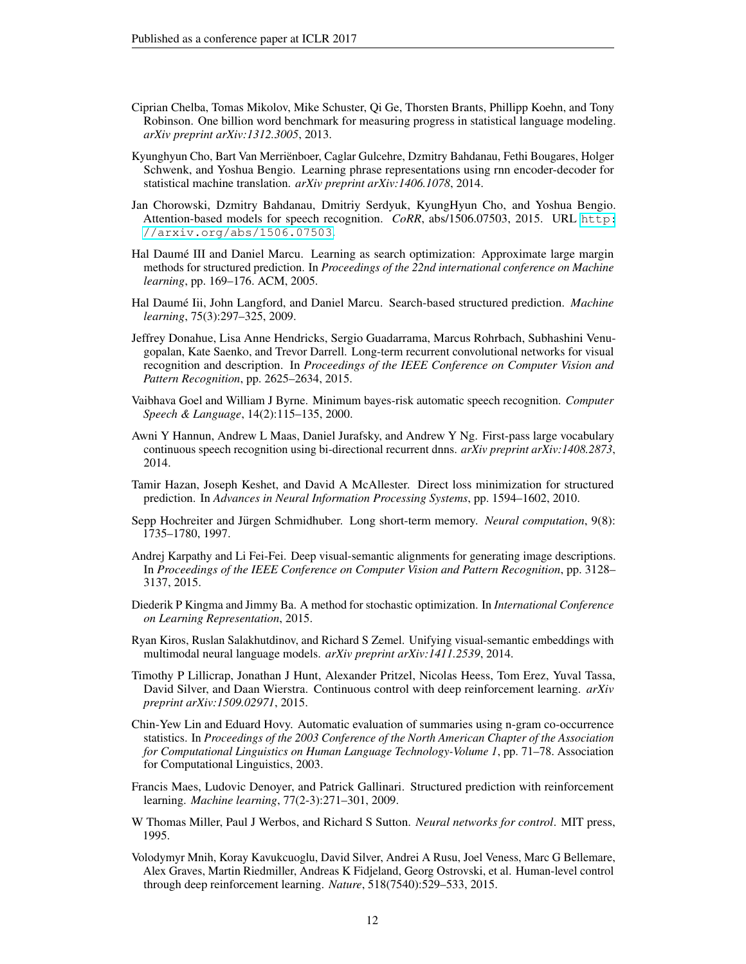- <span id="page-11-15"></span>Ciprian Chelba, Tomas Mikolov, Mike Schuster, Qi Ge, Thorsten Brants, Phillipp Koehn, and Tony Robinson. One billion word benchmark for measuring progress in statistical language modeling. *arXiv preprint arXiv:1312.3005*, 2013.
- <span id="page-11-8"></span>Kyunghyun Cho, Bart Van Merrienboer, Caglar Gulcehre, Dzmitry Bahdanau, Fethi Bougares, Holger ¨ Schwenk, and Yoshua Bengio. Learning phrase representations using rnn encoder-decoder for statistical machine translation. *arXiv preprint arXiv:1406.1078*, 2014.
- <span id="page-11-3"></span>Jan Chorowski, Dzmitry Bahdanau, Dmitriy Serdyuk, KyungHyun Cho, and Yoshua Bengio. Attention-based models for speech recognition. *CoRR*, abs/1506.07503, 2015. URL [http:](http://arxiv.org/abs/1506.07503) [//arxiv.org/abs/1506.07503](http://arxiv.org/abs/1506.07503).
- <span id="page-11-14"></span>Hal Daumé III and Daniel Marcu. Learning as search optimization: Approximate large margin methods for structured prediction. In *Proceedings of the 22nd international conference on Machine learning*, pp. 169–176. ACM, 2005.
- <span id="page-11-11"></span>Hal Daumé Iii, John Langford, and Daniel Marcu. Search-based structured prediction. *Machine learning*, 75(3):297–325, 2009.
- <span id="page-11-1"></span>Jeffrey Donahue, Lisa Anne Hendricks, Sergio Guadarrama, Marcus Rohrbach, Subhashini Venugopalan, Kate Saenko, and Trevor Darrell. Long-term recurrent convolutional networks for visual recognition and description. In *Proceedings of the IEEE Conference on Computer Vision and Pattern Recognition*, pp. 2625–2634, 2015.
- <span id="page-11-13"></span>Vaibhava Goel and William J Byrne. Minimum bayes-risk automatic speech recognition. *Computer Speech & Language*, 14(2):115–135, 2000.
- <span id="page-11-17"></span>Awni Y Hannun, Andrew L Maas, Daniel Jurafsky, and Andrew Y Ng. First-pass large vocabulary continuous speech recognition using bi-directional recurrent dnns. *arXiv preprint arXiv:1408.2873*, 2014.
- <span id="page-11-12"></span>Tamir Hazan, Joseph Keshet, and David A McAllester. Direct loss minimization for structured prediction. In *Advances in Neural Information Processing Systems*, pp. 1594–1602, 2010.
- <span id="page-11-7"></span>Sepp Hochreiter and Jürgen Schmidhuber. Long short-term memory. Neural computation, 9(8): 1735–1780, 1997.
- <span id="page-11-2"></span>Andrej Karpathy and Li Fei-Fei. Deep visual-semantic alignments for generating image descriptions. In *Proceedings of the IEEE Conference on Computer Vision and Pattern Recognition*, pp. 3128– 3137, 2015.
- <span id="page-11-16"></span>Diederik P Kingma and Jimmy Ba. A method for stochastic optimization. In *International Conference on Learning Representation*, 2015.
- <span id="page-11-0"></span>Ryan Kiros, Ruslan Salakhutdinov, and Richard S Zemel. Unifying visual-semantic embeddings with multimodal neural language models. *arXiv preprint arXiv:1411.2539*, 2014.
- <span id="page-11-9"></span>Timothy P Lillicrap, Jonathan J Hunt, Alexander Pritzel, Nicolas Heess, Tom Erez, Yuval Tassa, David Silver, and Daan Wierstra. Continuous control with deep reinforcement learning. *arXiv preprint arXiv:1509.02971*, 2015.
- <span id="page-11-4"></span>Chin-Yew Lin and Eduard Hovy. Automatic evaluation of summaries using n-gram co-occurrence statistics. In *Proceedings of the 2003 Conference of the North American Chapter of the Association for Computational Linguistics on Human Language Technology-Volume 1*, pp. 71–78. Association for Computational Linguistics, 2003.
- <span id="page-11-10"></span>Francis Maes, Ludovic Denoyer, and Patrick Gallinari. Structured prediction with reinforcement learning. *Machine learning*, 77(2-3):271–301, 2009.
- <span id="page-11-5"></span>W Thomas Miller, Paul J Werbos, and Richard S Sutton. *Neural networks for control*. MIT press, 1995.
- <span id="page-11-6"></span>Volodymyr Mnih, Koray Kavukcuoglu, David Silver, Andrei A Rusu, Joel Veness, Marc G Bellemare, Alex Graves, Martin Riedmiller, Andreas K Fidjeland, Georg Ostrovski, et al. Human-level control through deep reinforcement learning. *Nature*, 518(7540):529–533, 2015.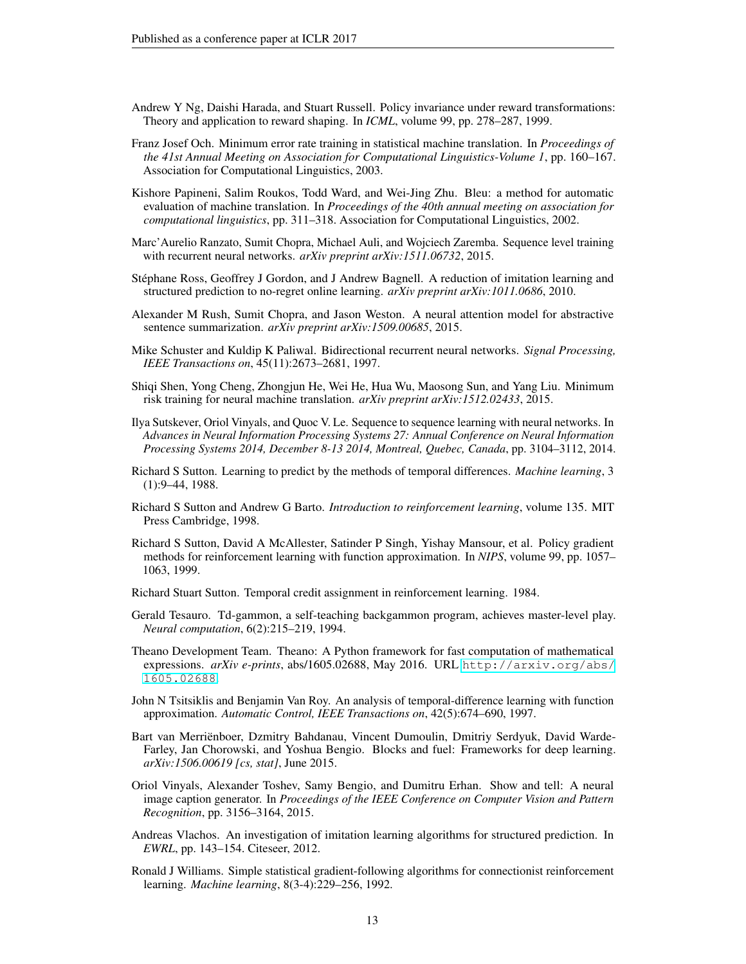- <span id="page-12-13"></span>Andrew Y Ng, Daishi Harada, and Stuart Russell. Policy invariance under reward transformations: Theory and application to reward shaping. In *ICML*, volume 99, pp. 278–287, 1999.
- <span id="page-12-17"></span>Franz Josef Och. Minimum error rate training in statistical machine translation. In *Proceedings of the 41st Annual Meeting on Association for Computational Linguistics-Volume 1*, pp. 160–167. Association for Computational Linguistics, 2003.
- <span id="page-12-4"></span>Kishore Papineni, Salim Roukos, Todd Ward, and Wei-Jing Zhu. Bleu: a method for automatic evaluation of machine translation. In *Proceedings of the 40th annual meeting on association for computational linguistics*, pp. 311–318. Association for Computational Linguistics, 2002.
- <span id="page-12-2"></span>Marc'Aurelio Ranzato, Sumit Chopra, Michael Auli, and Wojciech Zaremba. Sequence level training with recurrent neural networks. *arXiv preprint arXiv:1511.06732*, 2015.
- <span id="page-12-16"></span>Stephane Ross, Geoffrey J Gordon, and J Andrew Bagnell. A reduction of imitation learning and ´ structured prediction to no-regret online learning. *arXiv preprint arXiv:1011.0686*, 2010.
- <span id="page-12-11"></span>Alexander M Rush, Sumit Chopra, and Jason Weston. A neural attention model for abstractive sentence summarization. *arXiv preprint arXiv:1509.00685*, 2015.
- <span id="page-12-10"></span>Mike Schuster and Kuldip K Paliwal. Bidirectional recurrent neural networks. *Signal Processing, IEEE Transactions on*, 45(11):2673–2681, 1997.
- <span id="page-12-14"></span>Shiqi Shen, Yong Cheng, Zhongjun He, Wei He, Hua Wu, Maosong Sun, and Yang Liu. Minimum risk training for neural machine translation. *arXiv preprint arXiv:1512.02433*, 2015.
- <span id="page-12-0"></span>Ilya Sutskever, Oriol Vinyals, and Quoc V. Le. Sequence to sequence learning with neural networks. In *Advances in Neural Information Processing Systems 27: Annual Conference on Neural Information Processing Systems 2014, December 8-13 2014, Montreal, Quebec, Canada*, pp. 3104–3112, 2014.
- <span id="page-12-8"></span>Richard S Sutton. Learning to predict by the methods of temporal differences. *Machine learning*, 3 (1):9–44, 1988.
- <span id="page-12-5"></span>Richard S Sutton and Andrew G Barto. *Introduction to reinforcement learning*, volume 135. MIT Press Cambridge, 1998.
- <span id="page-12-7"></span>Richard S Sutton, David A McAllester, Satinder P Singh, Yishay Mansour, et al. Policy gradient methods for reinforcement learning with function approximation. In *NIPS*, volume 99, pp. 1057– 1063, 1999.
- <span id="page-12-6"></span>Richard Stuart Sutton. Temporal credit assignment in reinforcement learning. 1984.
- <span id="page-12-9"></span>Gerald Tesauro. Td-gammon, a self-teaching backgammon program, achieves master-level play. *Neural computation*, 6(2):215–219, 1994.
- <span id="page-12-18"></span>Theano Development Team. Theano: A Python framework for fast computation of mathematical expressions. *arXiv e-prints*, abs/1605.02688, May 2016. URL [http://arxiv.org/abs/](http://arxiv.org/abs/1605.02688) [1605.02688](http://arxiv.org/abs/1605.02688).
- <span id="page-12-12"></span>John N Tsitsiklis and Benjamin Van Roy. An analysis of temporal-difference learning with function approximation. *Automatic Control, IEEE Transactions on*, 42(5):674–690, 1997.
- <span id="page-12-19"></span>Bart van Merrienboer, Dzmitry Bahdanau, Vincent Dumoulin, Dmitriy Serdyuk, David Warde- ¨ Farley, Jan Chorowski, and Yoshua Bengio. Blocks and fuel: Frameworks for deep learning. *arXiv:1506.00619 [cs, stat]*, June 2015.
- <span id="page-12-1"></span>Oriol Vinyals, Alexander Toshev, Samy Bengio, and Dumitru Erhan. Show and tell: A neural image caption generator. In *Proceedings of the IEEE Conference on Computer Vision and Pattern Recognition*, pp. 3156–3164, 2015.
- <span id="page-12-15"></span>Andreas Vlachos. An investigation of imitation learning algorithms for structured prediction. In *EWRL*, pp. 143–154. Citeseer, 2012.
- <span id="page-12-3"></span>Ronald J Williams. Simple statistical gradient-following algorithms for connectionist reinforcement learning. *Machine learning*, 8(3-4):229–256, 1992.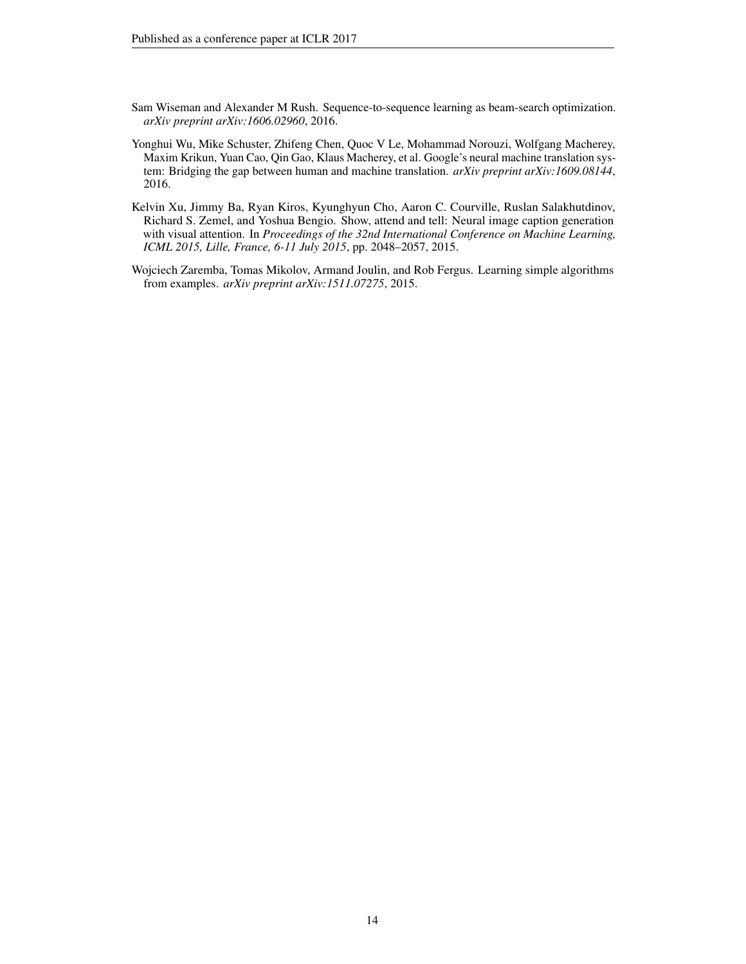- <span id="page-13-2"></span>Sam Wiseman and Alexander M Rush. Sequence-to-sequence learning as beam-search optimization. *arXiv preprint arXiv:1606.02960*, 2016.
- <span id="page-13-3"></span>Yonghui Wu, Mike Schuster, Zhifeng Chen, Quoc V Le, Mohammad Norouzi, Wolfgang Macherey, Maxim Krikun, Yuan Cao, Qin Gao, Klaus Macherey, et al. Google's neural machine translation system: Bridging the gap between human and machine translation. *arXiv preprint arXiv:1609.08144*, 2016.
- <span id="page-13-0"></span>Kelvin Xu, Jimmy Ba, Ryan Kiros, Kyunghyun Cho, Aaron C. Courville, Ruslan Salakhutdinov, Richard S. Zemel, and Yoshua Bengio. Show, attend and tell: Neural image caption generation with visual attention. In *Proceedings of the 32nd International Conference on Machine Learning, ICML 2015, Lille, France, 6-11 July 2015*, pp. 2048–2057, 2015.
- <span id="page-13-1"></span>Wojciech Zaremba, Tomas Mikolov, Armand Joulin, and Rob Fergus. Learning simple algorithms from examples. *arXiv preprint arXiv:1511.07275*, 2015.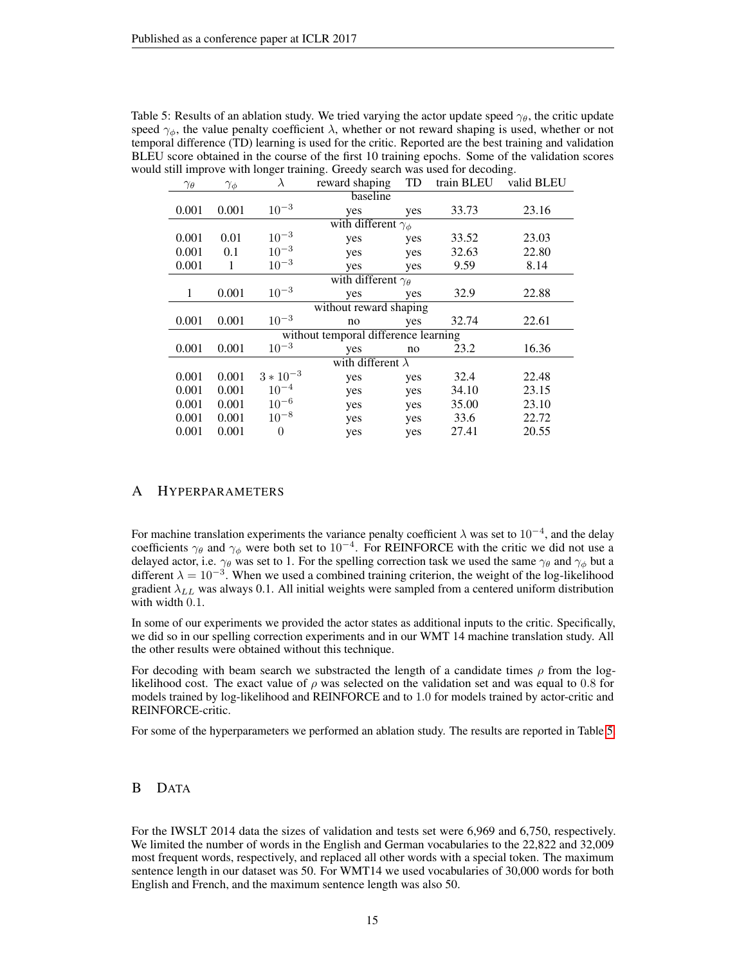| $\gamma_\theta$        | $\gamma_\phi$            | $\lambda$      | reward shaping                       | valid BLEU |       |       |  |  |
|------------------------|--------------------------|----------------|--------------------------------------|------------|-------|-------|--|--|
| baseline               |                          |                |                                      |            |       |       |  |  |
| 0.001                  | 0.001                    | $10^{-3}$      | yes                                  | yes        | 33.73 | 23.16 |  |  |
|                        |                          |                | with different $\gamma_{\phi}$       |            |       |       |  |  |
| 0.001                  | 0.01                     | $10^{-3}$      | yes                                  | yes        | 33.52 | 23.03 |  |  |
| 0.001                  | 0.1                      | $10^{-3}$      | yes                                  | yes        | 32.63 | 22.80 |  |  |
| 0.001                  | 1                        | $10^{-3}$      | yes                                  | yes        | 9.59  | 8.14  |  |  |
|                        |                          |                | with different $\gamma_{\theta}$     |            |       |       |  |  |
| 1                      | 0.001                    | $10^{-3}\,$    | yes                                  | yes        | 32.9  | 22.88 |  |  |
| without reward shaping |                          |                |                                      |            |       |       |  |  |
| 0.001                  | 0.001                    | $10^{-3}$      | no                                   | yes        | 32.74 | 22.61 |  |  |
|                        |                          |                | without temporal difference learning |            |       |       |  |  |
| 0.001                  | 0.001                    | $10^{-3}$      | yes                                  | no         | 23.2  | 16.36 |  |  |
|                        | with different $\lambda$ |                |                                      |            |       |       |  |  |
| 0.001                  | 0.001                    | $3 * 10^{-3}$  | yes                                  | yes        | 32.4  | 22.48 |  |  |
| 0.001                  | 0.001                    | $10^{-4}$      | yes                                  | yes        | 34.10 | 23.15 |  |  |
| 0.001                  | 0.001                    | $10^{-6}$      | yes                                  | yes        | 35.00 | 23.10 |  |  |
| 0.001                  | 0.001                    | $10^{-8}$      | yes                                  | yes        | 33.6  | 22.72 |  |  |
| 0.001                  | 0.001                    | $\overline{0}$ | yes                                  | yes        | 27.41 | 20.55 |  |  |

<span id="page-14-2"></span>Table 5: Results of an ablation study. We tried varying the actor update speed  $\gamma_{\theta}$ , the critic update speed  $\gamma_{\phi}$ , the value penalty coefficient  $\lambda$ , whether or not reward shaping is used, whether or not temporal difference (TD) learning is used for the critic. Reported are the best training and validation BLEU score obtained in the course of the first 10 training epochs. Some of the validation scores would still improve with longer training. Greedy search was used for decoding.

#### <span id="page-14-0"></span>A HYPERPARAMETERS

For machine translation experiments the variance penalty coefficient  $\lambda$  was set to  $10^{-4}$ , and the delay coefficients  $\gamma_{\theta}$  and  $\gamma_{\phi}$  were both set to  $10^{-4}$ . For REINFORCE with the critic we did not use a delayed actor, i.e.  $\gamma_\theta$  was set to 1. For the spelling correction task we used the same  $\gamma_\theta$  and  $\gamma_\phi$  but a different  $\lambda = 10^{-3}$ . When we used a combined training criterion, the weight of the log-likelihood gradient  $\lambda_{LL}$  was always 0.1. All initial weights were sampled from a centered uniform distribution with width 0.1.

In some of our experiments we provided the actor states as additional inputs to the critic. Specifically, we did so in our spelling correction experiments and in our WMT 14 machine translation study. All the other results were obtained without this technique.

For decoding with beam search we substracted the length of a candidate times  $\rho$  from the loglikelihood cost. The exact value of  $\rho$  was selected on the validation set and was equal to 0.8 for models trained by log-likelihood and REINFORCE and to 1.0 for models trained by actor-critic and REINFORCE-critic.

For some of the hyperparameters we performed an ablation study. The results are reported in Table [5.](#page-14-2)

#### <span id="page-14-1"></span>B DATA

For the IWSLT 2014 data the sizes of validation and tests set were 6,969 and 6,750, respectively. We limited the number of words in the English and German vocabularies to the 22,822 and 32,009 most frequent words, respectively, and replaced all other words with a special token. The maximum sentence length in our dataset was 50. For WMT14 we used vocabularies of 30,000 words for both English and French, and the maximum sentence length was also 50.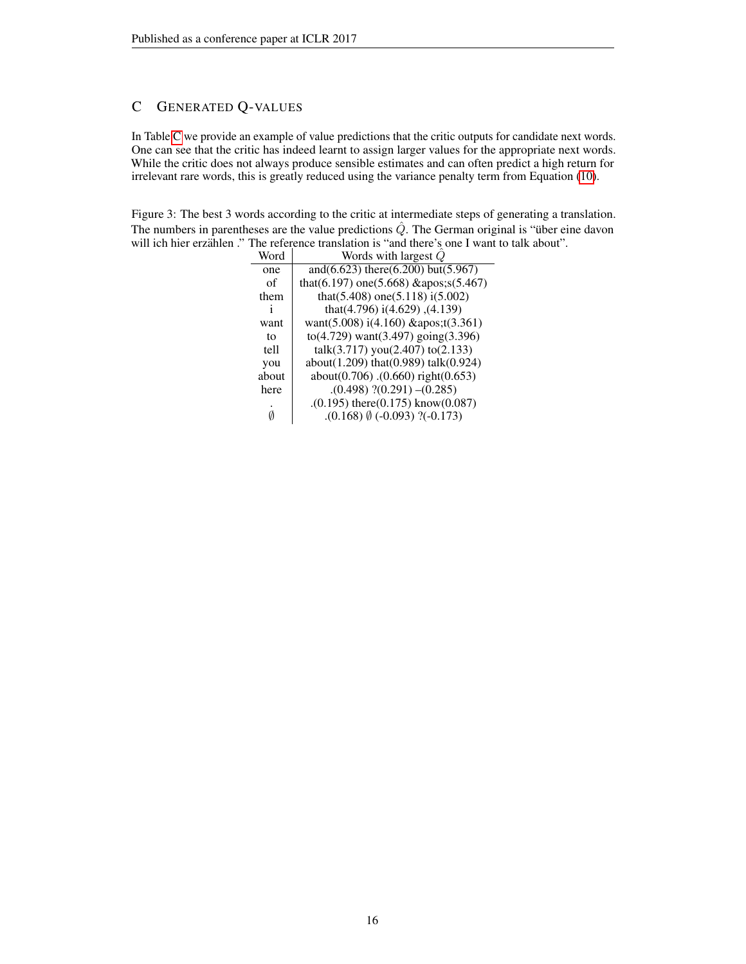## <span id="page-15-0"></span>C GENERATED Q-VALUES

In Table [C](#page-15-0) we provide an example of value predictions that the critic outputs for candidate next words. One can see that the critic has indeed learnt to assign larger values for the appropriate next words. While the critic does not always produce sensible estimates and can often predict a high return for irrelevant rare words, this is greatly reduced using the variance penalty term from Equation [\(10\)](#page-5-1).

Figure 3: The best 3 words according to the critic at intermediate steps of generating a translation. The numbers in parentheses are the value predictions  $\hat{Q}$ . The German original is "über eine davon" will ich hier erzählen ." The reference translation is "and there's one I want to talk about".<br>
Word Words with largest  $\hat{Q}$ 

| Word  | Words with largest $Q$                      |
|-------|---------------------------------------------|
| one   | and(6.623) there(6.200) but(5.967)          |
| of    | that(6.197) one(5.668) 's(5.467)            |
| them  | that(5.408) one(5.118) $i(5.002)$           |
| 1     | that(4.796) i(4.629), (4.139)               |
| want  | want(5.008) $i(4.160)$ & apos;t(3.361)      |
| to    | $to (4.729)$ want $(3.497)$ going $(3.396)$ |
| tell  | talk(3.717) you(2.407) to(2.133)            |
| you   | about(1.209) that(0.989) talk(0.924)        |
| about | about(0.706).(0.660) right(0.653)           |
| here  | $(0.498)$ $(0.291)$ $-(0.285)$              |
|       | $(0.195)$ there $(0.175)$ know $(0.087)$    |
|       | $(0.168)$ $(0.093)$ ?(-0.173)               |